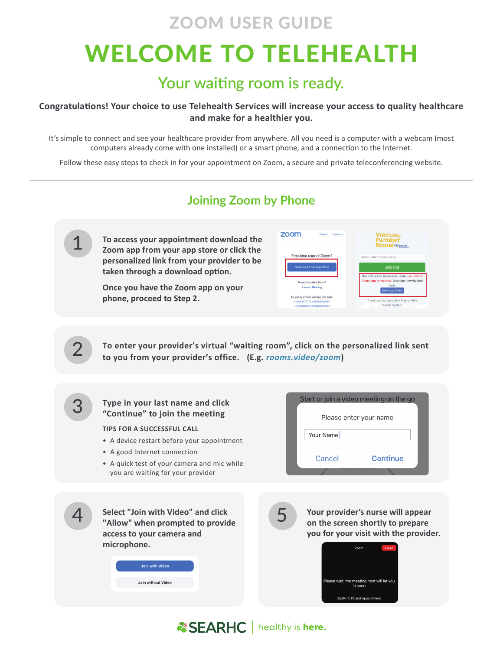## WELCOME TO TELEHEALTH ZOOM USER GUIDE

### **Your waiting room is ready.**

#### **Congratulations! Your choice to use Telehealth Services will increase your access to quality healthcare and make for a healthier you.**

It's simple to connect and see your healthcare provider from anywhere. All you need is a computer with a webcam (most computers already come with one installed) or a smart phone, and a connection to the Internet.

Follow these easy steps to check in for your appointment on Zoom, a secure and private teleconferencing website.



**ESEARHC** | healthy is here.

### **Joining Zoom by Phone**